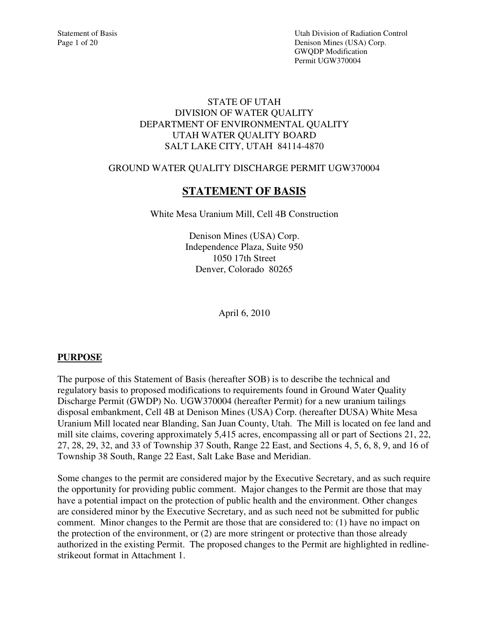Statement of Basis Utah Division of Radiation Control Page 1 of 20 Denison Mines (USA) Corp. GWQDP Modification Permit UGW370004

#### STATE OF UTAH DIVISION OF WATER QUALITY DEPARTMENT OF ENVIRONMENTAL QUALITY UTAH WATER QUALITY BOARD SALT LAKE CITY, UTAH 84114-4870

### GROUND WATER QUALITY DISCHARGE PERMIT UGW370004

# **STATEMENT OF BASIS**

White Mesa Uranium Mill, Cell 4B Construction

Denison Mines (USA) Corp. Independence Plaza, Suite 950 1050 17th Street Denver, Colorado 80265

April 6, 2010

### **PURPOSE**

The purpose of this Statement of Basis (hereafter SOB) is to describe the technical and regulatory basis to proposed modifications to requirements found in Ground Water Quality Discharge Permit (GWDP) No. UGW370004 (hereafter Permit) for a new uranium tailings disposal embankment, Cell 4B at Denison Mines (USA) Corp. (hereafter DUSA) White Mesa Uranium Mill located near Blanding, San Juan County, Utah. The Mill is located on fee land and mill site claims, covering approximately 5,415 acres, encompassing all or part of Sections 21, 22, 27, 28, 29, 32, and 33 of Township 37 South, Range 22 East, and Sections 4, 5, 6, 8, 9, and 16 of Township 38 South, Range 22 East, Salt Lake Base and Meridian.

Some changes to the permit are considered major by the Executive Secretary, and as such require the opportunity for providing public comment. Major changes to the Permit are those that may have a potential impact on the protection of public health and the environment. Other changes are considered minor by the Executive Secretary, and as such need not be submitted for public comment. Minor changes to the Permit are those that are considered to: (1) have no impact on the protection of the environment, or (2) are more stringent or protective than those already authorized in the existing Permit. The proposed changes to the Permit are highlighted in redlinestrikeout format in Attachment 1.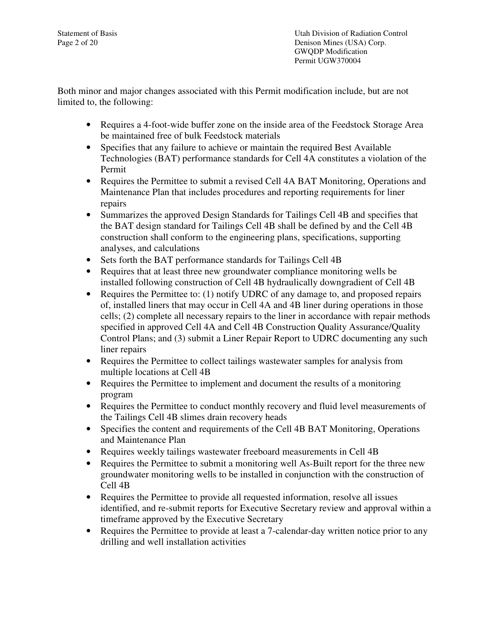Statement of Basis Utah Division of Radiation Control Page 2 of 20 Denison Mines (USA) Corp. GWQDP Modification Permit UGW370004

Both minor and major changes associated with this Permit modification include, but are not limited to, the following:

- Requires a 4-foot-wide buffer zone on the inside area of the Feedstock Storage Area be maintained free of bulk Feedstock materials
- Specifies that any failure to achieve or maintain the required Best Available Technologies (BAT) performance standards for Cell 4A constitutes a violation of the Permit
- Requires the Permittee to submit a revised Cell 4A BAT Monitoring, Operations and Maintenance Plan that includes procedures and reporting requirements for liner repairs
- Summarizes the approved Design Standards for Tailings Cell 4B and specifies that the BAT design standard for Tailings Cell 4B shall be defined by and the Cell 4B construction shall conform to the engineering plans, specifications, supporting analyses, and calculations
- Sets forth the BAT performance standards for Tailings Cell 4B
- Requires that at least three new groundwater compliance monitoring wells be installed following construction of Cell 4B hydraulically downgradient of Cell 4B
- Requires the Permittee to: (1) notify UDRC of any damage to, and proposed repairs of, installed liners that may occur in Cell 4A and 4B liner during operations in those cells; (2) complete all necessary repairs to the liner in accordance with repair methods specified in approved Cell 4A and Cell 4B Construction Quality Assurance/Quality Control Plans; and (3) submit a Liner Repair Report to UDRC documenting any such liner repairs
- Requires the Permittee to collect tailings wastewater samples for analysis from multiple locations at Cell 4B
- Requires the Permittee to implement and document the results of a monitoring program
- Requires the Permittee to conduct monthly recovery and fluid level measurements of the Tailings Cell 4B slimes drain recovery heads
- Specifies the content and requirements of the Cell 4B BAT Monitoring, Operations and Maintenance Plan
- Requires weekly tailings wastewater freeboard measurements in Cell 4B
- Requires the Permittee to submit a monitoring well As-Built report for the three new groundwater monitoring wells to be installed in conjunction with the construction of Cell 4B
- Requires the Permittee to provide all requested information, resolve all issues identified, and re-submit reports for Executive Secretary review and approval within a timeframe approved by the Executive Secretary
- Requires the Permittee to provide at least a 7-calendar-day written notice prior to any drilling and well installation activities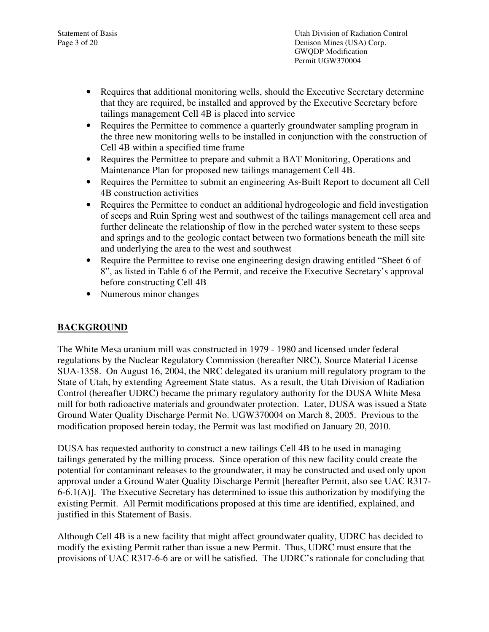Statement of Basis Utah Division of Radiation Control Page 3 of 20 Denison Mines (USA) Corp. GWQDP Modification Permit UGW370004

- Requires that additional monitoring wells, should the Executive Secretary determine that they are required, be installed and approved by the Executive Secretary before tailings management Cell 4B is placed into service
- Requires the Permittee to commence a quarterly groundwater sampling program in the three new monitoring wells to be installed in conjunction with the construction of Cell 4B within a specified time frame
- Requires the Permittee to prepare and submit a BAT Monitoring, Operations and Maintenance Plan for proposed new tailings management Cell 4B.
- Requires the Permittee to submit an engineering As-Built Report to document all Cell 4B construction activities
- Requires the Permittee to conduct an additional hydrogeologic and field investigation of seeps and Ruin Spring west and southwest of the tailings management cell area and further delineate the relationship of flow in the perched water system to these seeps and springs and to the geologic contact between two formations beneath the mill site and underlying the area to the west and southwest
- Require the Permittee to revise one engineering design drawing entitled "Sheet 6 of 8", as listed in Table 6 of the Permit, and receive the Executive Secretary's approval before constructing Cell 4B
- Numerous minor changes

# **BACKGROUND**

The White Mesa uranium mill was constructed in 1979 - 1980 and licensed under federal regulations by the Nuclear Regulatory Commission (hereafter NRC), Source Material License SUA-1358. On August 16, 2004, the NRC delegated its uranium mill regulatory program to the State of Utah, by extending Agreement State status. As a result, the Utah Division of Radiation Control (hereafter UDRC) became the primary regulatory authority for the DUSA White Mesa mill for both radioactive materials and groundwater protection. Later, DUSA was issued a State Ground Water Quality Discharge Permit No. UGW370004 on March 8, 2005. Previous to the modification proposed herein today, the Permit was last modified on January 20, 2010.

DUSA has requested authority to construct a new tailings Cell 4B to be used in managing tailings generated by the milling process. Since operation of this new facility could create the potential for contaminant releases to the groundwater, it may be constructed and used only upon approval under a Ground Water Quality Discharge Permit [hereafter Permit, also see UAC R317- 6-6.1(A)]. The Executive Secretary has determined to issue this authorization by modifying the existing Permit. All Permit modifications proposed at this time are identified, explained, and justified in this Statement of Basis.

Although Cell 4B is a new facility that might affect groundwater quality, UDRC has decided to modify the existing Permit rather than issue a new Permit. Thus, UDRC must ensure that the provisions of UAC R317-6-6 are or will be satisfied. The UDRC's rationale for concluding that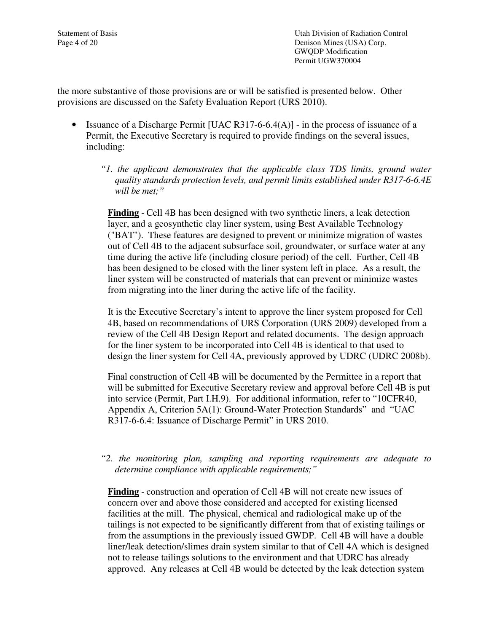Statement of Basis Utah Division of Radiation Control Page 4 of 20 Denison Mines (USA) Corp. GWQDP Modification Permit UGW370004

the more substantive of those provisions are or will be satisfied is presented below. Other provisions are discussed on the Safety Evaluation Report (URS 2010).

- Issuance of a Discharge Permit [UAC R317-6-6.4(A)] in the process of issuance of a Permit, the Executive Secretary is required to provide findings on the several issues, including:
	- *"1. the applicant demonstrates that the applicable class TDS limits, ground water quality standards protection levels, and permit limits established under R317-6-6.4E will be met;"*

**Finding** - Cell 4B has been designed with two synthetic liners, a leak detection layer, and a geosynthetic clay liner system, using Best Available Technology ("BAT"). These features are designed to prevent or minimize migration of wastes out of Cell 4B to the adjacent subsurface soil, groundwater, or surface water at any time during the active life (including closure period) of the cell. Further, Cell 4B has been designed to be closed with the liner system left in place. As a result, the liner system will be constructed of materials that can prevent or minimize wastes from migrating into the liner during the active life of the facility.

It is the Executive Secretary's intent to approve the liner system proposed for Cell 4B, based on recommendations of URS Corporation (URS 2009) developed from a review of the Cell 4B Design Report and related documents. The design approach for the liner system to be incorporated into Cell 4B is identical to that used to design the liner system for Cell 4A, previously approved by UDRC (UDRC 2008b).

Final construction of Cell 4B will be documented by the Permittee in a report that will be submitted for Executive Secretary review and approval before Cell 4B is put into service (Permit, Part I.H.9). For additional information, refer to "10CFR40, Appendix A, Criterion 5A(1): Ground-Water Protection Standards" and "UAC R317-6-6.4: Issuance of Discharge Permit" in URS 2010.

#### *"2. the monitoring plan, sampling and reporting requirements are adequate to determine compliance with applicable requirements;"*

**Finding** - construction and operation of Cell 4B will not create new issues of concern over and above those considered and accepted for existing licensed facilities at the mill. The physical, chemical and radiological make up of the tailings is not expected to be significantly different from that of existing tailings or from the assumptions in the previously issued GWDP. Cell 4B will have a double liner/leak detection/slimes drain system similar to that of Cell 4A which is designed not to release tailings solutions to the environment and that UDRC has already approved. Any releases at Cell 4B would be detected by the leak detection system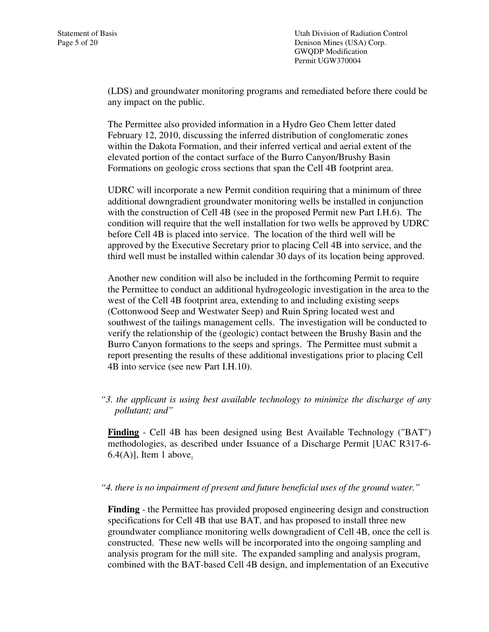Statement of Basis Utah Division of Radiation Control Page 5 of 20 Denison Mines (USA) Corp. GWQDP Modification Permit UGW370004

> (LDS) and groundwater monitoring programs and remediated before there could be any impact on the public.

The Permittee also provided information in a Hydro Geo Chem letter dated February 12, 2010, discussing the inferred distribution of conglomeratic zones within the Dakota Formation, and their inferred vertical and aerial extent of the elevated portion of the contact surface of the Burro Canyon/Brushy Basin Formations on geologic cross sections that span the Cell 4B footprint area.

UDRC will incorporate a new Permit condition requiring that a minimum of three additional downgradient groundwater monitoring wells be installed in conjunction with the construction of Cell 4B (see in the proposed Permit new Part I.H.6). The condition will require that the well installation for two wells be approved by UDRC before Cell 4B is placed into service. The location of the third well will be approved by the Executive Secretary prior to placing Cell 4B into service, and the third well must be installed within calendar 30 days of its location being approved.

Another new condition will also be included in the forthcoming Permit to require the Permittee to conduct an additional hydrogeologic investigation in the area to the west of the Cell 4B footprint area, extending to and including existing seeps (Cottonwood Seep and Westwater Seep) and Ruin Spring located west and southwest of the tailings management cells. The investigation will be conducted to verify the relationship of the (geologic) contact between the Brushy Basin and the Burro Canyon formations to the seeps and springs. The Permittee must submit a report presenting the results of these additional investigations prior to placing Cell 4B into service (see new Part I.H.10).

*"3. the applicant is using best available technology to minimize the discharge of any pollutant; and"* 

**Finding** - Cell 4B has been designed using Best Available Technology ("BAT") methodologies, as described under Issuance of a Discharge Permit [UAC R317-6-  $6.4(A)$ ], Item 1 above.

#### *"4. there is no impairment of present and future beneficial uses of the ground water."*

**Finding** - the Permittee has provided proposed engineering design and construction specifications for Cell 4B that use BAT, and has proposed to install three new groundwater compliance monitoring wells downgradient of Cell 4B, once the cell is constructed. These new wells will be incorporated into the ongoing sampling and analysis program for the mill site. The expanded sampling and analysis program, combined with the BAT-based Cell 4B design, and implementation of an Executive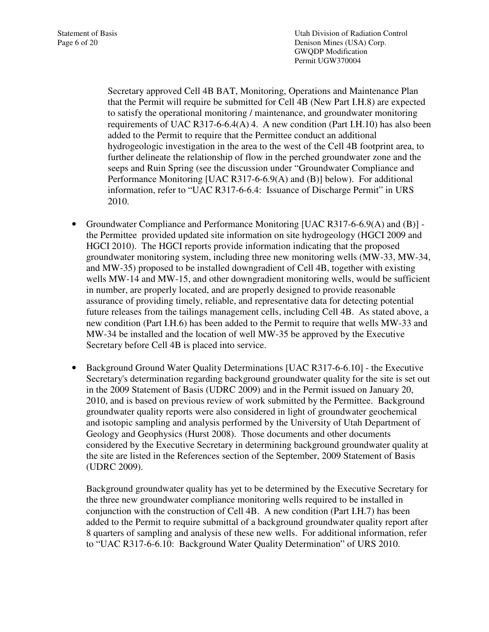Statement of Basis Utah Division of Radiation Control Page 6 of 20 Denison Mines (USA) Corp. GWQDP Modification Permit UGW370004

> Secretary approved Cell 4B BAT, Monitoring, Operations and Maintenance Plan that the Permit will require be submitted for Cell 4B (New Part I.H.8) are expected to satisfy the operational monitoring / maintenance, and groundwater monitoring requirements of UAC R317-6-6.4(A) 4. A new condition (Part I.H.10) has also been added to the Permit to require that the Permittee conduct an additional hydrogeologic investigation in the area to the west of the Cell 4B footprint area, to further delineate the relationship of flow in the perched groundwater zone and the seeps and Ruin Spring (see the discussion under "Groundwater Compliance and Performance Monitoring [UAC R317-6-6.9(A) and (B)] below). For additional information, refer to "UAC R317-6-6.4: Issuance of Discharge Permit" in URS 2010.

- Groundwater Compliance and Performance Monitoring [UAC R317-6-6.9(A) and (B)] the Permittee provided updated site information on site hydrogeology (HGCI 2009 and HGCI 2010). The HGCI reports provide information indicating that the proposed groundwater monitoring system, including three new monitoring wells (MW-33, MW-34, and MW-35) proposed to be installed downgradient of Cell 4B, together with existing wells MW-14 and MW-15, and other downgradient monitoring wells, would be sufficient in number, are properly located, and are properly designed to provide reasonable assurance of providing timely, reliable, and representative data for detecting potential future releases from the tailings management cells, including Cell 4B.As stated above, a new condition (Part I.H.6) has been added to the Permit to require that wells MW-33 and MW-34 be installed and the location of well MW-35 be approved by the Executive Secretary before Cell 4B is placed into service.
- Background Ground Water Quality Determinations [UAC R317-6-6.10] the Executive Secretary's determination regarding background groundwater quality for the site is set out in the 2009 Statement of Basis (UDRC 2009) and in the Permit issued on January 20, 2010, and is based on previous review of work submitted by the Permittee. Background groundwater quality reports were also considered in light of groundwater geochemical and isotopic sampling and analysis performed by the University of Utah Department of Geology and Geophysics (Hurst 2008). Those documents and other documents considered by the Executive Secretary in determining background groundwater quality at the site are listed in the References section of the September, 2009 Statement of Basis (UDRC 2009).

Background groundwater quality has yet to be determined by the Executive Secretary for the three new groundwater compliance monitoring wells required to be installed in conjunction with the construction of Cell 4B. A new condition (Part I.H.7) has been added to the Permit to require submittal of a background groundwater quality report after 8 quarters of sampling and analysis of these new wells. For additional information, refer to "UAC R317-6-6.10: Background Water Quality Determination" of URS 2010.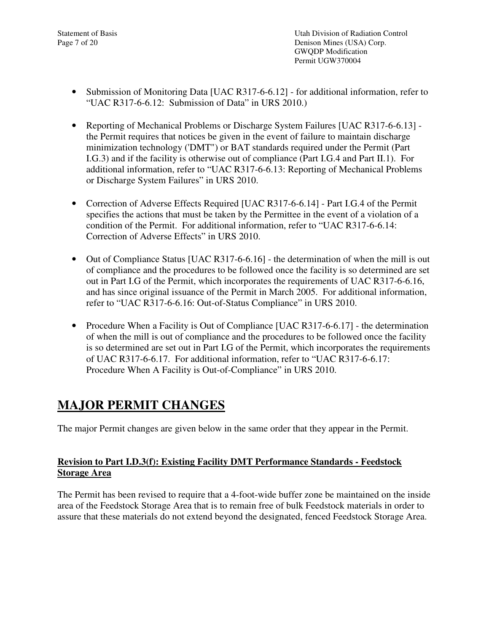- Submission of Monitoring Data [UAC R317-6-6.12] for additional information, refer to "UAC R317-6-6.12: Submission of Data" in URS 2010.)
- Reporting of Mechanical Problems or Discharge System Failures [UAC R317-6-6.13] the Permit requires that notices be given in the event of failure to maintain discharge minimization technology ('DMT") or BAT standards required under the Permit (Part I.G.3) and if the facility is otherwise out of compliance (Part I.G.4 and Part II.1). For additional information, refer to "UAC R317-6-6.13: Reporting of Mechanical Problems or Discharge System Failures" in URS 2010.
- Correction of Adverse Effects Required [UAC R317-6-6.14] Part I.G.4 of the Permit specifies the actions that must be taken by the Permittee in the event of a violation of a condition of the Permit. For additional information, refer to "UAC R317-6-6.14: Correction of Adverse Effects" in URS 2010.
- Out of Compliance Status [UAC R317-6-6.16] the determination of when the mill is out of compliance and the procedures to be followed once the facility is so determined are set out in Part I.G of the Permit, which incorporates the requirements of UAC R317-6-6.16, and has since original issuance of the Permit in March 2005. For additional information, refer to "UAC R317-6-6.16: Out-of-Status Compliance" in URS 2010.
- Procedure When a Facility is Out of Compliance [UAC R317-6-6.17] the determination of when the mill is out of compliance and the procedures to be followed once the facility is so determined are set out in Part I.G of the Permit, which incorporates the requirements of UAC R317-6-6.17. For additional information, refer to "UAC R317-6-6.17: Procedure When A Facility is Out-of-Compliance" in URS 2010.

# **MAJOR PERMIT CHANGES**

The major Permit changes are given below in the same order that they appear in the Permit.

## **Revision to Part I.D.3(f): Existing Facility DMT Performance Standards - Feedstock Storage Area**

The Permit has been revised to require that a 4-foot-wide buffer zone be maintained on the inside area of the Feedstock Storage Area that is to remain free of bulk Feedstock materials in order to assure that these materials do not extend beyond the designated, fenced Feedstock Storage Area.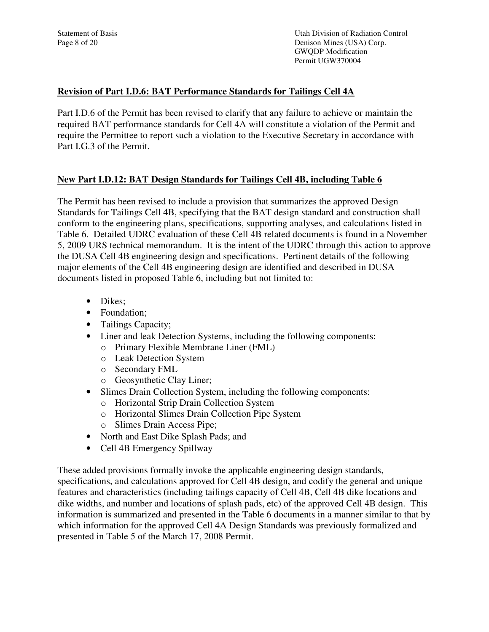Statement of Basis Utah Division of Radiation Control Page 8 of 20 Denison Mines (USA) Corp. GWQDP Modification Permit UGW370004

### **Revision of Part I.D.6: BAT Performance Standards for Tailings Cell 4A**

Part I.D.6 of the Permit has been revised to clarify that any failure to achieve or maintain the required BAT performance standards for Cell 4A will constitute a violation of the Permit and require the Permittee to report such a violation to the Executive Secretary in accordance with Part I.G.3 of the Permit.

### **New Part I.D.12: BAT Design Standards for Tailings Cell 4B, including Table 6**

The Permit has been revised to include a provision that summarizes the approved Design Standards for Tailings Cell 4B, specifying that the BAT design standard and construction shall conform to the engineering plans, specifications, supporting analyses, and calculations listed in Table 6. Detailed UDRC evaluation of these Cell 4B related documents is found in a November 5, 2009 URS technical memorandum. It is the intent of the UDRC through this action to approve the DUSA Cell 4B engineering design and specifications. Pertinent details of the following major elements of the Cell 4B engineering design are identified and described in DUSA documents listed in proposed Table 6, including but not limited to:

- Dikes:
- Foundation:
- Tailings Capacity;
- Liner and leak Detection Systems, including the following components:
	- o Primary Flexible Membrane Liner (FML)
	- o Leak Detection System
	- o Secondary FML
	- o Geosynthetic Clay Liner;
- Slimes Drain Collection System, including the following components:
	- o Horizontal Strip Drain Collection System
	- o Horizontal Slimes Drain Collection Pipe System
	- o Slimes Drain Access Pipe;
- North and East Dike Splash Pads; and
- Cell 4B Emergency Spillway

These added provisions formally invoke the applicable engineering design standards, specifications, and calculations approved for Cell 4B design, and codify the general and unique features and characteristics (including tailings capacity of Cell 4B, Cell 4B dike locations and dike widths, and number and locations of splash pads, etc) of the approved Cell 4B design. This information is summarized and presented in the Table 6 documents in a manner similar to that by which information for the approved Cell 4A Design Standards was previously formalized and presented in Table 5 of the March 17, 2008 Permit.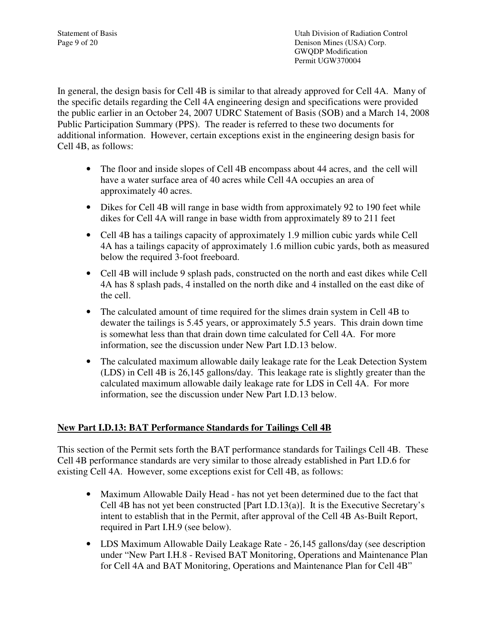Statement of Basis Utah Division of Radiation Control Page 9 of 20 Denison Mines (USA) Corp. GWQDP Modification Permit UGW370004

In general, the design basis for Cell 4B is similar to that already approved for Cell 4A. Many of the specific details regarding the Cell 4A engineering design and specifications were provided the public earlier in an October 24, 2007 UDRC Statement of Basis (SOB) and a March 14, 2008 Public Participation Summary (PPS). The reader is referred to these two documents for additional information. However, certain exceptions exist in the engineering design basis for Cell 4B, as follows:

- The floor and inside slopes of Cell 4B encompass about 44 acres, and the cell will have a water surface area of 40 acres while Cell 4A occupies an area of approximately 40 acres.
- Dikes for Cell 4B will range in base width from approximately 92 to 190 feet while dikes for Cell 4A will range in base width from approximately 89 to 211 feet
- Cell 4B has a tailings capacity of approximately 1.9 million cubic yards while Cell 4A has a tailings capacity of approximately 1.6 million cubic yards, both as measured below the required 3-foot freeboard.
- Cell 4B will include 9 splash pads, constructed on the north and east dikes while Cell 4A has 8 splash pads, 4 installed on the north dike and 4 installed on the east dike of the cell.
- The calculated amount of time required for the slimes drain system in Cell 4B to dewater the tailings is 5.45 years, or approximately 5.5 years. This drain down time is somewhat less than that drain down time calculated for Cell 4A. For more information, see the discussion under New Part I.D.13 below.
- The calculated maximum allowable daily leakage rate for the Leak Detection System (LDS) in Cell 4B is 26,145 gallons/day. This leakage rate is slightly greater than the calculated maximum allowable daily leakage rate for LDS in Cell 4A. For more information, see the discussion under New Part I.D.13 below.

# **New Part I.D.13: BAT Performance Standards for Tailings Cell 4B**

This section of the Permit sets forth the BAT performance standards for Tailings Cell 4B. These Cell 4B performance standards are very similar to those already established in Part I.D.6 for existing Cell 4A. However, some exceptions exist for Cell 4B, as follows:

- Maximum Allowable Daily Head has not yet been determined due to the fact that Cell 4B has not yet been constructed [Part I.D.13(a)]. It is the Executive Secretary's intent to establish that in the Permit, after approval of the Cell 4B As-Built Report, required in Part I.H.9 (see below).
- LDS Maximum Allowable Daily Leakage Rate 26,145 gallons/day (see description under "New Part I.H.8 - Revised BAT Monitoring, Operations and Maintenance Plan for Cell 4A and BAT Monitoring, Operations and Maintenance Plan for Cell 4B"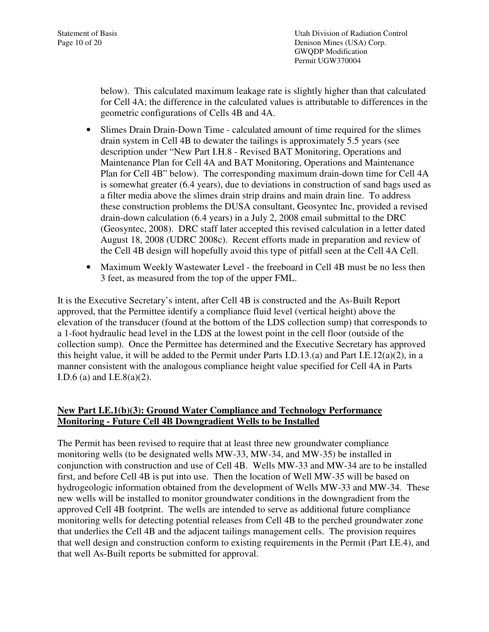below). This calculated maximum leakage rate is slightly higher than that calculated for Cell 4A; the difference in the calculated values is attributable to differences in the geometric configurations of Cells 4B and 4A.

- Slimes Drain Drain-Down Time calculated amount of time required for the slimes drain system in Cell 4B to dewater the tailings is approximately 5.5 years (see description under "New Part I.H.8 - Revised BAT Monitoring, Operations and Maintenance Plan for Cell 4A and BAT Monitoring, Operations and Maintenance Plan for Cell 4B" below). The corresponding maximum drain-down time for Cell 4A is somewhat greater (6.4 years), due to deviations in construction of sand bags used as a filter media above the slimes drain strip drains and main drain line. To address these construction problems the DUSA consultant, Geosyntec Inc, provided a revised drain-down calculation (6.4 years) in a July 2, 2008 email submittal to the DRC (Geosyntec, 2008). DRC staff later accepted this revised calculation in a letter dated August 18, 2008 (UDRC 2008c). Recent efforts made in preparation and review of the Cell 4B design will hopefully avoid this type of pitfall seen at the Cell 4A Cell.
- Maximum Weekly Wastewater Level the freeboard in Cell 4B must be no less then 3 feet, as measured from the top of the upper FML.

It is the Executive Secretary's intent, after Cell 4B is constructed and the As-Built Report approved, that the Permittee identify a compliance fluid level (vertical height) above the elevation of the transducer (found at the bottom of the LDS collection sump) that corresponds to a 1-foot hydraulic head level in the LDS at the lowest point in the cell floor (outside of the collection sump). Once the Permittee has determined and the Executive Secretary has approved this height value, it will be added to the Permit under Parts I.D.13.(a) and Part I.E.12(a)(2), in a manner consistent with the analogous compliance height value specified for Cell 4A in Parts I.D.6 (a) and I.E.8(a)(2).

### **New Part I.E.1(b)(3): Ground Water Compliance and Technology Performance Monitoring - Future Cell 4B Downgradient Wells to be Installed**

The Permit has been revised to require that at least three new groundwater compliance monitoring wells (to be designated wells MW-33, MW-34, and MW-35) be installed in conjunction with construction and use of Cell 4B. Wells MW-33 and MW-34 are to be installed first, and before Cell 4B is put into use. Then the location of Well MW-35 will be based on hydrogeologic information obtained from the development of Wells MW-33 and MW-34. These new wells will be installed to monitor groundwater conditions in the downgradient from the approved Cell 4B footprint. The wells are intended to serve as additional future compliance monitoring wells for detecting potential releases from Cell 4B to the perched groundwater zone that underlies the Cell 4B and the adjacent tailings management cells. The provision requires that well design and construction conform to existing requirements in the Permit (Part I.E.4), and that well As-Built reports be submitted for approval.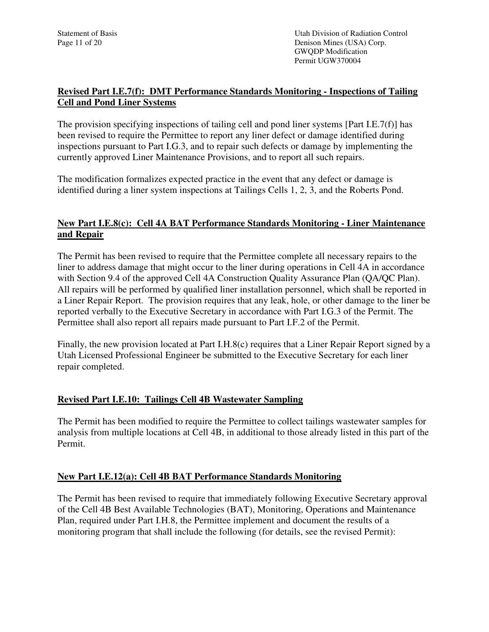### **Revised Part I.E.7(f): DMT Performance Standards Monitoring - Inspections of Tailing Cell and Pond Liner Systems**

The provision specifying inspections of tailing cell and pond liner systems [Part I.E.7(f)] has been revised to require the Permittee to report any liner defect or damage identified during inspections pursuant to Part I.G.3, and to repair such defects or damage by implementing the currently approved Liner Maintenance Provisions, and to report all such repairs.

The modification formalizes expected practice in the event that any defect or damage is identified during a liner system inspections at Tailings Cells 1, 2, 3, and the Roberts Pond.

### **New Part I.E.8(c): Cell 4A BAT Performance Standards Monitoring - Liner Maintenance and Repair**

The Permit has been revised to require that the Permittee complete all necessary repairs to the liner to address damage that might occur to the liner during operations in Cell 4A in accordance with Section 9.4 of the approved Cell 4A Construction Quality Assurance Plan (QA/QC Plan). All repairs will be performed by qualified liner installation personnel, which shall be reported in a Liner Repair Report. The provision requires that any leak, hole, or other damage to the liner be reported verbally to the Executive Secretary in accordance with Part I.G.3 of the Permit. The Permittee shall also report all repairs made pursuant to Part I.F.2 of the Permit.

Finally, the new provision located at Part I.H.8(c) requires that a Liner Repair Report signed by a Utah Licensed Professional Engineer be submitted to the Executive Secretary for each liner repair completed.

### **Revised Part I.E.10: Tailings Cell 4B Wastewater Sampling**

The Permit has been modified to require the Permittee to collect tailings wastewater samples for analysis from multiple locations at Cell 4B, in additional to those already listed in this part of the Permit.

### **New Part I.E.12(a): Cell 4B BAT Performance Standards Monitoring**

The Permit has been revised to require that immediately following Executive Secretary approval of the Cell 4B Best Available Technologies (BAT), Monitoring, Operations and Maintenance Plan, required under Part I.H.8, the Permittee implement and document the results of a monitoring program that shall include the following (for details, see the revised Permit):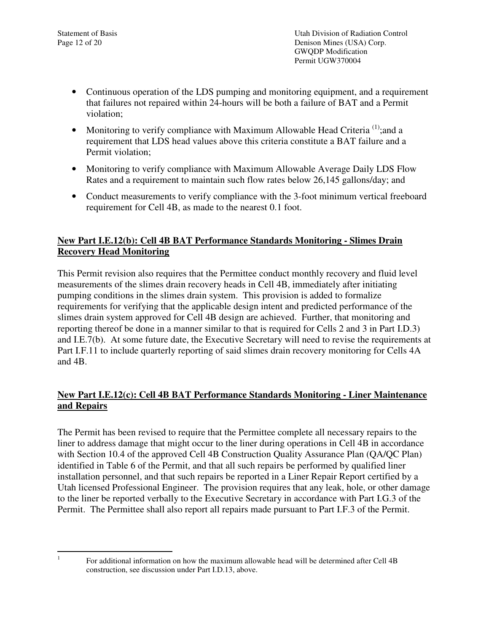Statement of Basis Utah Division of Radiation Control Page 12 of 20 Denison Mines (USA) Corp. GWQDP Modification Permit UGW370004

- Continuous operation of the LDS pumping and monitoring equipment, and a requirement that failures not repaired within 24-hours will be both a failure of BAT and a Permit violation;
- Monitoring to verify compliance with Maximum Allowable Head Criteria<sup>(1)</sup>; and a requirement that LDS head values above this criteria constitute a BAT failure and a Permit violation;
- Monitoring to verify compliance with Maximum Allowable Average Daily LDS Flow Rates and a requirement to maintain such flow rates below 26,145 gallons/day; and
- Conduct measurements to verify compliance with the 3-foot minimum vertical freeboard requirement for Cell 4B, as made to the nearest 0.1 foot.

## **New Part I.E.12(b): Cell 4B BAT Performance Standards Monitoring - Slimes Drain Recovery Head Monitoring**

This Permit revision also requires that the Permittee conduct monthly recovery and fluid level measurements of the slimes drain recovery heads in Cell 4B, immediately after initiating pumping conditions in the slimes drain system. This provision is added to formalize requirements for verifying that the applicable design intent and predicted performance of the slimes drain system approved for Cell 4B design are achieved. Further, that monitoring and reporting thereof be done in a manner similar to that is required for Cells 2 and 3 in Part I.D.3) and I.E.7(b). At some future date, the Executive Secretary will need to revise the requirements at Part I.F.11 to include quarterly reporting of said slimes drain recovery monitoring for Cells 4A and 4B.

## **New Part I.E.12(c): Cell 4B BAT Performance Standards Monitoring - Liner Maintenance and Repairs**

The Permit has been revised to require that the Permittee complete all necessary repairs to the liner to address damage that might occur to the liner during operations in Cell 4B in accordance with Section 10.4 of the approved Cell 4B Construction Quality Assurance Plan (QA/QC Plan) identified in Table 6 of the Permit, and that all such repairs be performed by qualified liner installation personnel, and that such repairs be reported in a Liner Repair Report certified by a Utah licensed Professional Engineer. The provision requires that any leak, hole, or other damage to the liner be reported verbally to the Executive Secretary in accordance with Part I.G.3 of the Permit. The Permittee shall also report all repairs made pursuant to Part I.F.3 of the Permit.

<sup>|&</sup>lt;br>|<br>|

For additional information on how the maximum allowable head will be determined after Cell 4B construction, see discussion under Part I.D.13, above.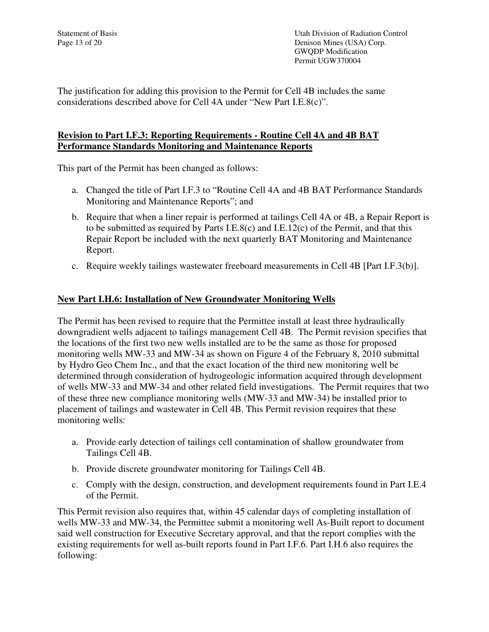Statement of Basis Utah Division of Radiation Control Page 13 of 20 Denison Mines (USA) Corp. GWQDP Modification Permit UGW370004

The justification for adding this provision to the Permit for Cell 4B includes the same considerations described above for Cell 4A under "New Part I.E.8(c)".

### **Revision to Part I.F.3: Reporting Requirements - Routine Cell 4A and 4B BAT Performance Standards Monitoring and Maintenance Reports**

This part of the Permit has been changed as follows:

- a. Changed the title of Part I.F.3 to "Routine Cell 4A and 4B BAT Performance Standards Monitoring and Maintenance Reports"; and
- b. Require that when a liner repair is performed at tailings Cell 4A or 4B, a Repair Report is to be submitted as required by Parts I.E.8(c) and I.E.12(c) of the Permit, and that this Repair Report be included with the next quarterly BAT Monitoring and Maintenance Report.
- c. Require weekly tailings wastewater freeboard measurements in Cell 4B [Part I.F.3(b)].

#### **New Part I.H.6: Installation of New Groundwater Monitoring Wells**

The Permit has been revised to require that the Permittee install at least three hydraulically downgradient wells adjacent to tailings management Cell 4B. The Permit revision specifies that the locations of the first two new wells installed are to be the same as those for proposed monitoring wells MW-33 and MW-34 as shown on Figure 4 of the February 8, 2010 submittal by Hydro Geo Chem Inc., and that the exact location of the third new monitoring well be determined through consideration of hydrogeologic information acquired through development of wells MW-33 and MW-34 and other related field investigations. The Permit requires that two of these three new compliance monitoring wells (MW-33 and MW-34) be installed prior to placement of tailings and wastewater in Cell 4B. This Permit revision requires that these monitoring wells:

- a. Provide early detection of tailings cell contamination of shallow groundwater from Tailings Cell 4B.
- b. Provide discrete groundwater monitoring for Tailings Cell 4B.
- c. Comply with the design, construction, and development requirements found in Part I.E.4 of the Permit.

This Permit revision also requires that, within 45 calendar days of completing installation of wells MW-33 and MW-34, the Permittee submit a monitoring well As-Built report to document said well construction for Executive Secretary approval, and that the report complies with the existing requirements for well as-built reports found in Part I.F.6. Part I.H.6 also requires the following: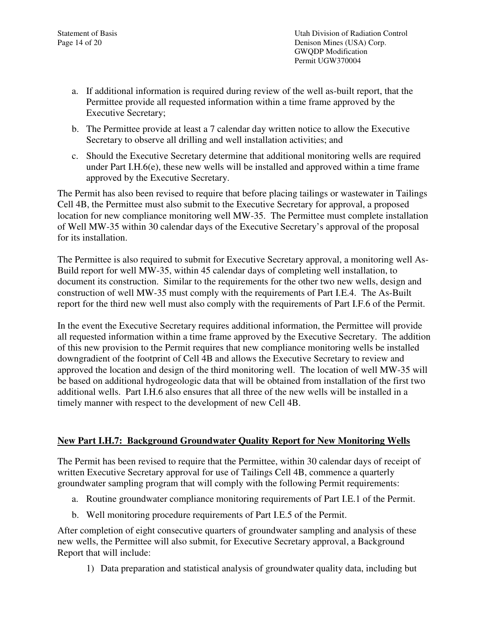Statement of Basis Utah Division of Radiation Control Page 14 of 20 Denison Mines (USA) Corp. GWQDP Modification Permit UGW370004

- a. If additional information is required during review of the well as-built report, that the Permittee provide all requested information within a time frame approved by the Executive Secretary;
- b. The Permittee provide at least a 7 calendar day written notice to allow the Executive Secretary to observe all drilling and well installation activities; and
- c. Should the Executive Secretary determine that additional monitoring wells are required under Part I.H.6(e), these new wells will be installed and approved within a time frame approved by the Executive Secretary.

The Permit has also been revised to require that before placing tailings or wastewater in Tailings Cell 4B, the Permittee must also submit to the Executive Secretary for approval, a proposed location for new compliance monitoring well MW-35. The Permittee must complete installation of Well MW-35 within 30 calendar days of the Executive Secretary's approval of the proposal for its installation.

The Permittee is also required to submit for Executive Secretary approval, a monitoring well As-Build report for well MW-35, within 45 calendar days of completing well installation, to document its construction. Similar to the requirements for the other two new wells, design and construction of well MW-35 must comply with the requirements of Part I.E.4. The As-Built report for the third new well must also comply with the requirements of Part I.F.6 of the Permit.

In the event the Executive Secretary requires additional information, the Permittee will provide all requested information within a time frame approved by the Executive Secretary. The addition of this new provision to the Permit requires that new compliance monitoring wells be installed downgradient of the footprint of Cell 4B and allows the Executive Secretary to review and approved the location and design of the third monitoring well. The location of well MW-35 will be based on additional hydrogeologic data that will be obtained from installation of the first two additional wells. Part I.H.6 also ensures that all three of the new wells will be installed in a timely manner with respect to the development of new Cell 4B.

### **New Part I.H.7: Background Groundwater Quality Report for New Monitoring Wells**

The Permit has been revised to require that the Permittee, within 30 calendar days of receipt of written Executive Secretary approval for use of Tailings Cell 4B, commence a quarterly groundwater sampling program that will comply with the following Permit requirements:

- a. Routine groundwater compliance monitoring requirements of Part I.E.1 of the Permit.
- b. Well monitoring procedure requirements of Part I.E.5 of the Permit.

After completion of eight consecutive quarters of groundwater sampling and analysis of these new wells, the Permittee will also submit, for Executive Secretary approval, a Background Report that will include:

1) Data preparation and statistical analysis of groundwater quality data, including but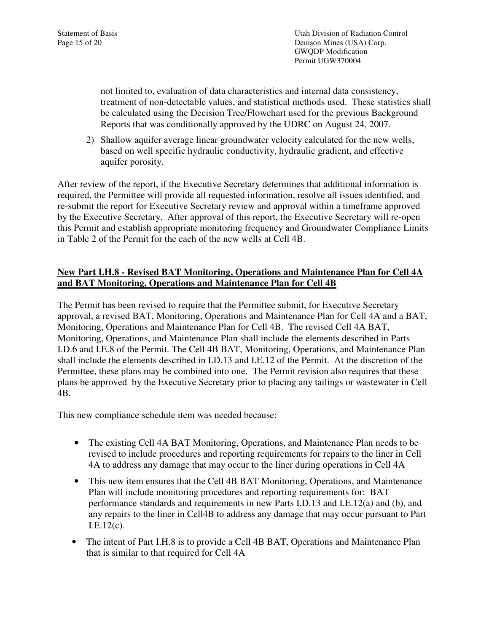Statement of Basis Utah Division of Radiation Control Page 15 of 20 Denison Mines (USA) Corp. GWQDP Modification Permit UGW370004

> not limited to, evaluation of data characteristics and internal data consistency, treatment of non-detectable values, and statistical methods used. These statistics shall be calculated using the Decision Tree/Flowchart used for the previous Background Reports that was conditionally approved by the UDRC on August 24, 2007.

2) Shallow aquifer average linear groundwater velocity calculated for the new wells, based on well specific hydraulic conductivity, hydraulic gradient, and effective aquifer porosity.

After review of the report, if the Executive Secretary determines that additional information is required, the Permittee will provide all requested information, resolve all issues identified, and re-submit the report for Executive Secretary review and approval within a timeframe approved by the Executive Secretary. After approval of this report, the Executive Secretary will re-open this Permit and establish appropriate monitoring frequency and Groundwater Compliance Limits in Table 2 of the Permit for the each of the new wells at Cell 4B.

## **New Part I.H.8 - Revised BAT Monitoring, Operations and Maintenance Plan for Cell 4A and BAT Monitoring, Operations and Maintenance Plan for Cell 4B**

The Permit has been revised to require that the Permittee submit, for Executive Secretary approval, a revised BAT, Monitoring, Operations and Maintenance Plan for Cell 4A and a BAT, Monitoring, Operations and Maintenance Plan for Cell 4B. The revised Cell 4A BAT, Monitoring, Operations, and Maintenance Plan shall include the elements described in Parts I.D.6 and I.E.8 of the Permit. The Cell 4B BAT, Monitoring, Operations, and Maintenance Plan shall include the elements described in I.D.13 and I.E.12 of the Permit. At the discretion of the Permittee, these plans may be combined into one. The Permit revision also requires that these plans be approved by the Executive Secretary prior to placing any tailings or wastewater in Cell 4B.

This new compliance schedule item was needed because:

- The existing Cell 4A BAT Monitoring, Operations, and Maintenance Plan needs to be revised to include procedures and reporting requirements for repairs to the liner in Cell 4A to address any damage that may occur to the liner during operations in Cell 4A
- This new item ensures that the Cell 4B BAT Monitoring, Operations, and Maintenance Plan will include monitoring procedures and reporting requirements for: BAT performance standards and requirements in new Parts I.D.13 and I.E.12(a) and (b), and any repairs to the liner in Cell4B to address any damage that may occur pursuant to Part I.E.12(c).
- The intent of Part I.H.8 is to provide a Cell 4B BAT, Operations and Maintenance Plan that is similar to that required for Cell 4A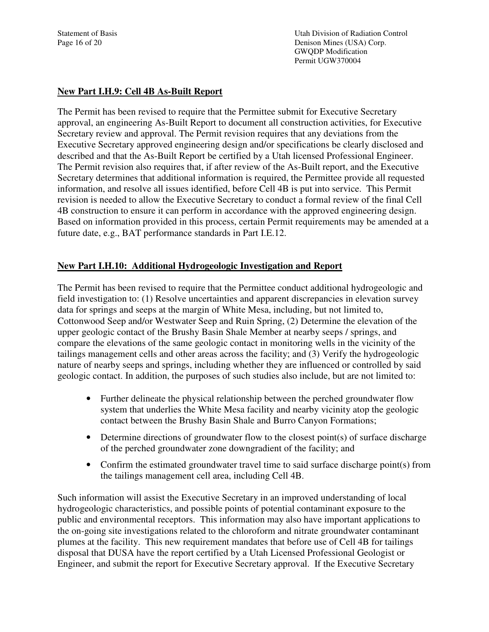#### **New Part I.H.9: Cell 4B As-Built Report**

The Permit has been revised to require that the Permittee submit for Executive Secretary approval, an engineering As-Built Report to document all construction activities, for Executive Secretary review and approval. The Permit revision requires that any deviations from the Executive Secretary approved engineering design and/or specifications be clearly disclosed and described and that the As-Built Report be certified by a Utah licensed Professional Engineer. The Permit revision also requires that, if after review of the As-Built report, and the Executive Secretary determines that additional information is required, the Permittee provide all requested information, and resolve all issues identified, before Cell 4B is put into service. This Permit revision is needed to allow the Executive Secretary to conduct a formal review of the final Cell 4B construction to ensure it can perform in accordance with the approved engineering design. Based on information provided in this process, certain Permit requirements may be amended at a future date, e.g., BAT performance standards in Part I.E.12.

#### **New Part I.H.10: Additional Hydrogeologic Investigation and Report**

The Permit has been revised to require that the Permittee conduct additional hydrogeologic and field investigation to: (1) Resolve uncertainties and apparent discrepancies in elevation survey data for springs and seeps at the margin of White Mesa, including, but not limited to, Cottonwood Seep and/or Westwater Seep and Ruin Spring, (2) Determine the elevation of the upper geologic contact of the Brushy Basin Shale Member at nearby seeps / springs, and compare the elevations of the same geologic contact in monitoring wells in the vicinity of the tailings management cells and other areas across the facility; and (3) Verify the hydrogeologic nature of nearby seeps and springs, including whether they are influenced or controlled by said geologic contact. In addition, the purposes of such studies also include, but are not limited to:

- Further delineate the physical relationship between the perched groundwater flow system that underlies the White Mesa facility and nearby vicinity atop the geologic contact between the Brushy Basin Shale and Burro Canyon Formations;
- Determine directions of groundwater flow to the closest point(s) of surface discharge of the perched groundwater zone downgradient of the facility; and
- Confirm the estimated groundwater travel time to said surface discharge point(s) from the tailings management cell area, including Cell 4B.

Such information will assist the Executive Secretary in an improved understanding of local hydrogeologic characteristics, and possible points of potential contaminant exposure to the public and environmental receptors. This information may also have important applications to the on-going site investigations related to the chloroform and nitrate groundwater contaminant plumes at the facility. This new requirement mandates that before use of Cell 4B for tailings disposal that DUSA have the report certified by a Utah Licensed Professional Geologist or Engineer, and submit the report for Executive Secretary approval. If the Executive Secretary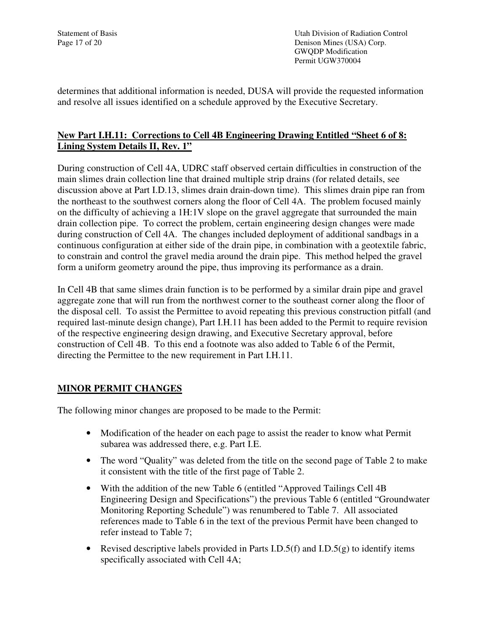Statement of Basis Utah Division of Radiation Control Page 17 of 20 Denison Mines (USA) Corp. GWQDP Modification Permit UGW370004

determines that additional information is needed, DUSA will provide the requested information and resolve all issues identified on a schedule approved by the Executive Secretary.

## **New Part I.H.11: Corrections to Cell 4B Engineering Drawing Entitled "Sheet 6 of 8: Lining System Details II, Rev. 1"**

During construction of Cell 4A, UDRC staff observed certain difficulties in construction of the main slimes drain collection line that drained multiple strip drains (for related details, see discussion above at Part I.D.13, slimes drain drain-down time). This slimes drain pipe ran from the northeast to the southwest corners along the floor of Cell 4A. The problem focused mainly on the difficulty of achieving a 1H:1V slope on the gravel aggregate that surrounded the main drain collection pipe. To correct the problem, certain engineering design changes were made during construction of Cell 4A. The changes included deployment of additional sandbags in a continuous configuration at either side of the drain pipe, in combination with a geotextile fabric, to constrain and control the gravel media around the drain pipe. This method helped the gravel form a uniform geometry around the pipe, thus improving its performance as a drain.

In Cell 4B that same slimes drain function is to be performed by a similar drain pipe and gravel aggregate zone that will run from the northwest corner to the southeast corner along the floor of the disposal cell. To assist the Permittee to avoid repeating this previous construction pitfall (and required last-minute design change), Part I.H.11 has been added to the Permit to require revision of the respective engineering design drawing, and Executive Secretary approval, before construction of Cell 4B. To this end a footnote was also added to Table 6 of the Permit, directing the Permittee to the new requirement in Part I.H.11.

### **MINOR PERMIT CHANGES**

The following minor changes are proposed to be made to the Permit:

- Modification of the header on each page to assist the reader to know what Permit subarea was addressed there, e.g. Part I.E.
- The word "Quality" was deleted from the title on the second page of Table 2 to make it consistent with the title of the first page of Table 2.
- With the addition of the new Table 6 (entitled "Approved Tailings Cell 4B) Engineering Design and Specifications") the previous Table 6 (entitled "Groundwater Monitoring Reporting Schedule") was renumbered to Table 7. All associated references made to Table 6 in the text of the previous Permit have been changed to refer instead to Table 7;
- Revised descriptive labels provided in Parts I.D.5(f) and I.D.5(g) to identify items specifically associated with Cell 4A;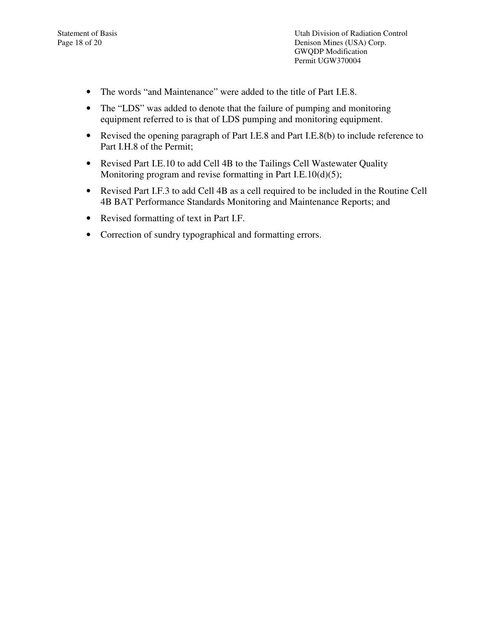- The words "and Maintenance" were added to the title of Part I.E.8.
- The "LDS" was added to denote that the failure of pumping and monitoring equipment referred to is that of LDS pumping and monitoring equipment.
- Revised the opening paragraph of Part I.E.8 and Part I.E.8(b) to include reference to Part I.H.8 of the Permit;
- Revised Part I.E.10 to add Cell 4B to the Tailings Cell Wastewater Quality Monitoring program and revise formatting in Part I.E.10(d)(5);
- Revised Part I.F.3 to add Cell 4B as a cell required to be included in the Routine Cell 4B BAT Performance Standards Monitoring and Maintenance Reports; and
- Revised formatting of text in Part I.F.
- Correction of sundry typographical and formatting errors.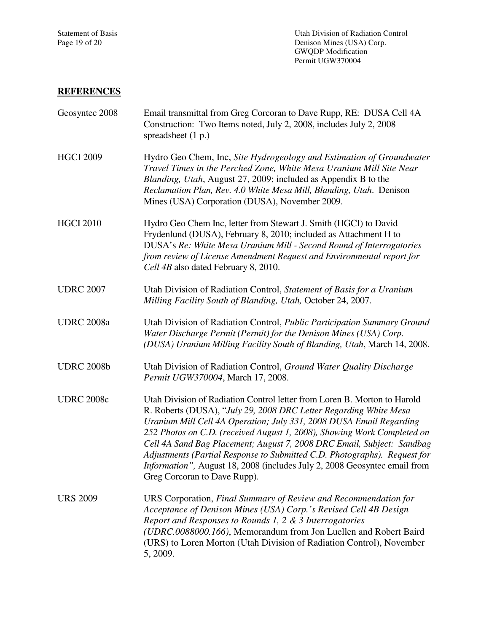# **REFERENCES**

| Geosyntec 2008    | Email transmittal from Greg Corcoran to Dave Rupp, RE: DUSA Cell 4A<br>Construction: Two Items noted, July 2, 2008, includes July 2, 2008<br>spreadsheet $(1 p.)$                                                                                                                                                                                                                                                                                                                                                                                                   |
|-------------------|---------------------------------------------------------------------------------------------------------------------------------------------------------------------------------------------------------------------------------------------------------------------------------------------------------------------------------------------------------------------------------------------------------------------------------------------------------------------------------------------------------------------------------------------------------------------|
| <b>HGCI 2009</b>  | Hydro Geo Chem, Inc, Site Hydrogeology and Estimation of Groundwater<br>Travel Times in the Perched Zone, White Mesa Uranium Mill Site Near<br>Blanding, Utah, August 27, 2009; included as Appendix B to the<br>Reclamation Plan, Rev. 4.0 White Mesa Mill, Blanding, Utah. Denison<br>Mines (USA) Corporation (DUSA), November 2009.                                                                                                                                                                                                                              |
| <b>HGCI 2010</b>  | Hydro Geo Chem Inc, letter from Stewart J. Smith (HGCI) to David<br>Frydenlund (DUSA), February 8, 2010; included as Attachment H to<br>DUSA's Re: White Mesa Uranium Mill - Second Round of Interrogatories<br>from review of License Amendment Request and Environmental report for<br>Cell 4B also dated February 8, 2010.                                                                                                                                                                                                                                       |
| <b>UDRC 2007</b>  | Utah Division of Radiation Control, Statement of Basis for a Uranium<br>Milling Facility South of Blanding, Utah, October 24, 2007.                                                                                                                                                                                                                                                                                                                                                                                                                                 |
| <b>UDRC</b> 2008a | Utah Division of Radiation Control, Public Participation Summary Ground<br>Water Discharge Permit (Permit) for the Denison Mines (USA) Corp.<br>(DUSA) Uranium Milling Facility South of Blanding, Utah, March 14, 2008.                                                                                                                                                                                                                                                                                                                                            |
| <b>UDRC 2008b</b> | Utah Division of Radiation Control, Ground Water Quality Discharge<br>Permit UGW370004, March 17, 2008.                                                                                                                                                                                                                                                                                                                                                                                                                                                             |
| <b>UDRC 2008c</b> | Utah Division of Radiation Control letter from Loren B. Morton to Harold<br>R. Roberts (DUSA), "July 29, 2008 DRC Letter Regarding White Mesa<br>Uranium Mill Cell 4A Operation; July 331, 2008 DUSA Email Regarding<br>252 Photos on C.D. (received August 1, 2008), Showing Work Completed on<br>Cell 4A Sand Bag Placement; August 7, 2008 DRC Email, Subject: Sandbag<br>Adjustments (Partial Response to Submitted C.D. Photographs). Request for<br>Information", August 18, 2008 (includes July 2, 2008 Geosyntec email from<br>Greg Corcoran to Dave Rupp). |
| <b>URS 2009</b>   | URS Corporation, Final Summary of Review and Recommendation for<br>Acceptance of Denison Mines (USA) Corp.'s Revised Cell 4B Design<br>Report and Responses to Rounds 1, 2 & 3 Interrogatories<br>(UDRC.0088000.166), Memorandum from Jon Luellen and Robert Baird<br>(URS) to Loren Morton (Utah Division of Radiation Control), November<br>5, 2009.                                                                                                                                                                                                              |